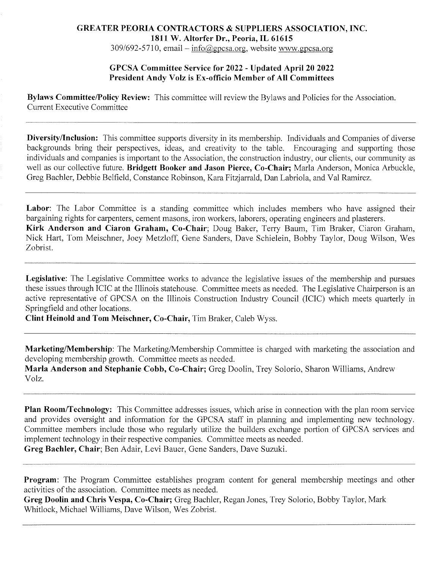## GREATER PEORIA CONTRACTORS & SUPPLIERS ASSOCIATION, INC. 1811 W. Altorfer Dr., Peoria, IL 61615

 $309/692 - 5710$ , email  $-$  info@gpcsa.org, website www.gpcsa.org

## GPCSA Committee Service for 2022 - Updated April 20 2022 President Andy Volz is Ex-officio Member of All Committees

Bylaws Committee/Policy Review: This committee will review the Bylaws and Policies for the Association. Current Executive Committee

Diversity/Inclusion: This committee supports diversity in its membership. Individuals and Companies of diverse backgrounds bring their perspectives, ideas, and creativity to the table. Encouraging and supporting those individuals and companies is important to the Association, the construction industry, our clients, our community as well as our collective future. Bridgett Booker and Jason Pierce, Co-Chair; Marla Anderson, Monica Arbuckle, Greg Bachler, Debbie Belfield, Constance Robinson, Kara Fitzjarrald, Dan Labriola, and Val Ramirez.

Labor: The Labor Committee is a standing committee which includes members who have assigned their bargaining rights for carpenters, cement masons, iron workers, laborers, operating engineers and plasterers. Kirk Anderson and Ciaron Graham, Co-Chair; Doug Baker, Terry Baum, Tim Braker, Ciaron Graham, Nick Hart, Tom Meischner, Joey Metzloff, Gene Sanders, Dave Schielein, Bobby Taylor, Doug Wilson, Wes Zobrist.

Legislative: The Legislative Committee works to advance the legislative issues of the membership and pursues these issues through ICIC at the Illinois statehouse. Committee meets as needed. The Legislative Chairperson is an active representative of GPCSA on the Illinois Construction Industry Council (ICIC) which meets quarterly in Springfield and other locations.

Clint Heinold and Tom Meischner, Co-Chair, Tim Braker, Caleb Wyss.

Marketing/Membership: The Marketing/Membership Committee is charged with marketing the association and developing membership growth. Committee meets as needed.

Marla Anderson and Stephanie Cobb, Co-Chair; Greg Doolin, Trey Solorio, Sharon Williams, Andrew Yolz.

Plan Room/Technology: This Committee addresses issues, which arise in connection with the plan room service and provides oversight and information for the GPCSA staff in planning and implementing new technology. Committee members include those who regularly utilize the builders exchange portion of GPCSA services and implement technology in their respective companies. Committee meets as needed. Greg Bachler, Chair; Ben Adair, Levi Bauer, Gene Sanders, Dave Suzuki.

Program: The Program Committee establishes program content for general membership meetings and other activities of the association. Committee meets as needed.

Greg Doolin and Chris Vespa, Co-Chair; Greg Bachler, Regan Jones, Trey Solorio, Bobby Taylor, Mark Whitlock, Michael Williams, Dave Wilson, Wes Zobrist.